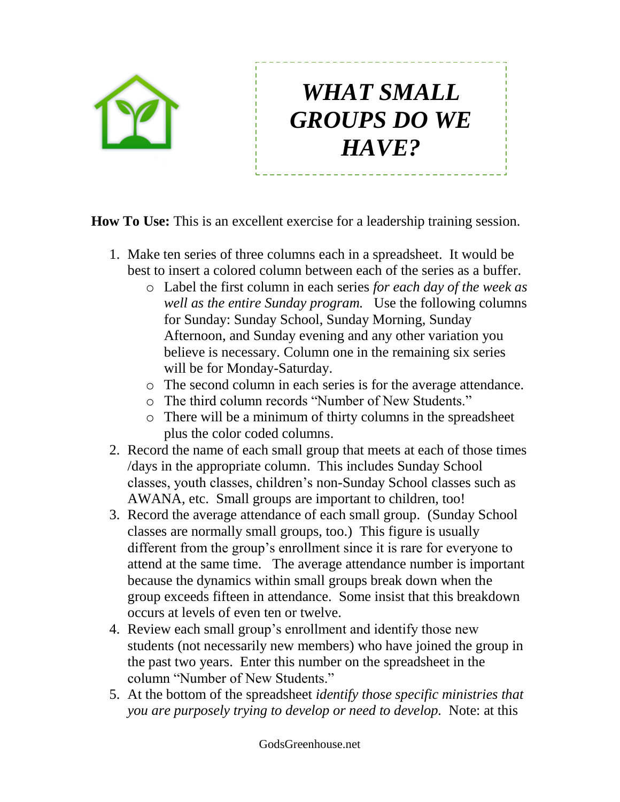

## *WHAT SMALL GROUPS DO WE HAVE?*

**How To Use:** This is an excellent exercise for a leadership training session.

- 1. Make ten series of three columns each in a spreadsheet. It would be best to insert a colored column between each of the series as a buffer.
	- o Label the first column in each series *for each day of the week as well as the entire Sunday program.* Use the following columns for Sunday: Sunday School, Sunday Morning, Sunday Afternoon, and Sunday evening and any other variation you believe is necessary. Column one in the remaining six series will be for Monday-Saturday.
	- o The second column in each series is for the average attendance.
	- o The third column records "Number of New Students."
	- o There will be a minimum of thirty columns in the spreadsheet plus the color coded columns.
- 2. Record the name of each small group that meets at each of those times /days in the appropriate column. This includes Sunday School classes, youth classes, children's non-Sunday School classes such as AWANA, etc. Small groups are important to children, too!
- 3. Record the average attendance of each small group. (Sunday School classes are normally small groups, too.) This figure is usually different from the group's enrollment since it is rare for everyone to attend at the same time. The average attendance number is important because the dynamics within small groups break down when the group exceeds fifteen in attendance. Some insist that this breakdown occurs at levels of even ten or twelve.
- 4. Review each small group's enrollment and identify those new students (not necessarily new members) who have joined the group in the past two years. Enter this number on the spreadsheet in the column "Number of New Students."
- 5. At the bottom of the spreadsheet *identify those specific ministries that you are purposely trying to develop or need to develop.* Note: at this